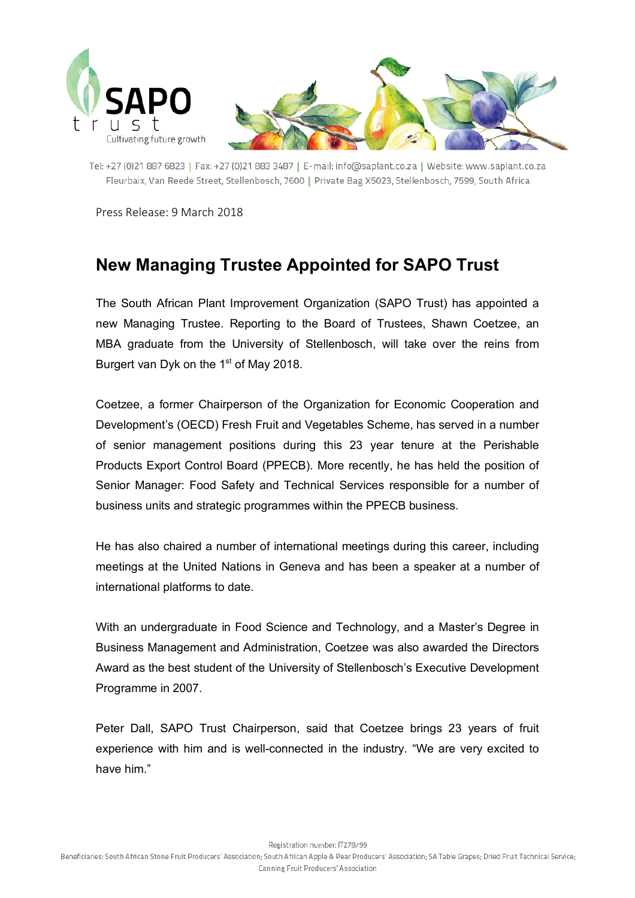

Tel: +27 (0)21 887 6823 | Fax: +27 (0)21 883 3487 | E-mail: info@saplant.co.za | Website: www.saplant.co.za Fleurbaix, Van Reede Street, Stellenbosch, 7600 | Private Bag X5023, Stellenbosch, 7599, South Africa

Press Release: 9 March 2018

## **New Managing Trustee Appointed for SAPO Trust**

The South African Plant Improvement Organization (SAPO Trust) has appointed a new Managing Trustee. Reporting to the Board of Trustees, Shawn Coetzee, an MBA graduate from the University of Stellenbosch, will take over the reins from Burgert van Dyk on the 1<sup>st</sup> of May 2018.

Coetzee, a former Chairperson of the Organization for Economic Cooperation and Development's (OECD) Fresh Fruit and Vegetables Scheme, has served in a number of senior management positions during this 23 year tenure at the Perishable Products Export Control Board (PPECB). More recently, he has held the position of Senior Manager: Food Safety and Technical Services responsible for a number of business units and strategic programmes within the PPECB business.

He has also chaired a number of international meetings during this career, including meetings at the United Nations in Geneva and has been a speaker at a number of international platforms to date.

With an undergraduate in Food Science and Technology, and a Master's Degree in Business Management and Administration, Coetzee was also awarded the Directors Award as the best student of the University of Stellenbosch's Executive Development Programme in 2007.

Peter Dall, SAPO Trust Chairperson, said that Coetzee brings 23 years of fruit experience with him and is well-connected in the industry. "We are very excited to have him."